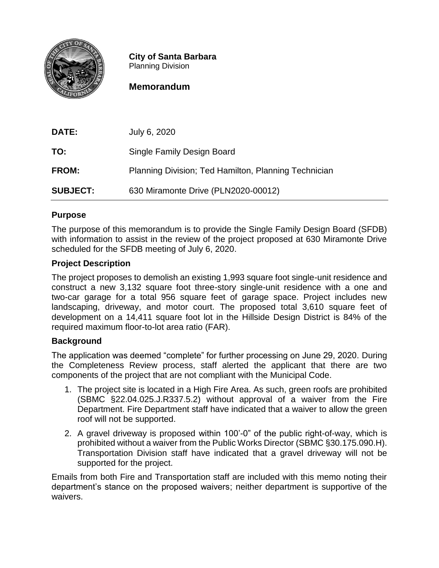

**City of Santa Barbara** Planning Division

# **Memorandum**

| <b>DATE:</b>    | July 6, 2020                                         |
|-----------------|------------------------------------------------------|
| TO:             | Single Family Design Board                           |
| <b>FROM:</b>    | Planning Division; Ted Hamilton, Planning Technician |
| <b>SUBJECT:</b> | 630 Miramonte Drive (PLN2020-00012)                  |

### **Purpose**

The purpose of this memorandum is to provide the Single Family Design Board (SFDB) with information to assist in the review of the project proposed at 630 Miramonte Drive scheduled for the SFDB meeting of July 6, 2020.

## **Project Description**

The project proposes to demolish an existing 1,993 square foot single-unit residence and construct a new 3,132 square foot three-story single-unit residence with a one and two-car garage for a total 956 square feet of garage space. Project includes new landscaping, driveway, and motor court. The proposed total 3,610 square feet of development on a 14,411 square foot lot in the Hillside Design District is 84% of the required maximum floor-to-lot area ratio (FAR).

#### **Background**

The application was deemed "complete" for further processing on June 29, 2020. During the Completeness Review process, staff alerted the applicant that there are two components of the project that are not compliant with the Municipal Code.

- 1. The project site is located in a High Fire Area. As such, green roofs are prohibited (SBMC §22.04.025.J.R337.5.2) without approval of a waiver from the Fire Department. Fire Department staff have indicated that a waiver to allow the green roof will not be supported.
- 2. A gravel driveway is proposed within 100'-0" of the public right-of-way, which is prohibited without a waiver from the Public Works Director (SBMC §30.175.090.H). Transportation Division staff have indicated that a gravel driveway will not be supported for the project.

Emails from both Fire and Transportation staff are included with this memo noting their department's stance on the proposed waivers; neither department is supportive of the waivers.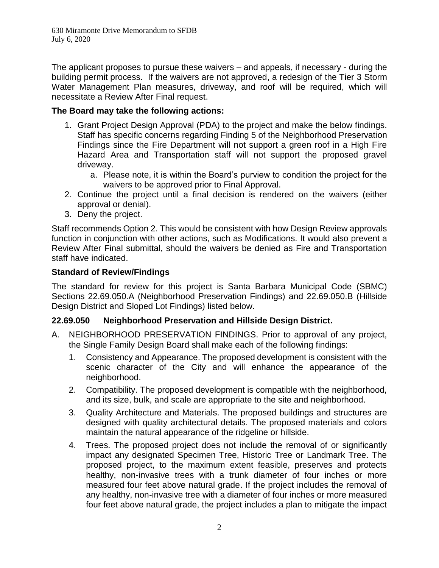630 Miramonte Drive Memorandum to SFDB July 6, 2020

The applicant proposes to pursue these waivers – and appeals, if necessary - during the building permit process. If the waivers are not approved, a redesign of the Tier 3 Storm Water Management Plan measures, driveway, and roof will be required, which will necessitate a Review After Final request.

#### **The Board may take the following actions:**

- 1. Grant Project Design Approval (PDA) to the project and make the below findings. Staff has specific concerns regarding Finding 5 of the Neighborhood Preservation Findings since the Fire Department will not support a green roof in a High Fire Hazard Area and Transportation staff will not support the proposed gravel driveway.
	- a. Please note, it is within the Board's purview to condition the project for the waivers to be approved prior to Final Approval.
- 2. Continue the project until a final decision is rendered on the waivers (either approval or denial).
- 3. Deny the project.

Staff recommends Option 2. This would be consistent with how Design Review approvals function in conjunction with other actions, such as Modifications. It would also prevent a Review After Final submittal, should the waivers be denied as Fire and Transportation staff have indicated.

#### **Standard of Review/Findings**

The standard for review for this project is Santa Barbara Municipal Code (SBMC) Sections 22.69.050.A (Neighborhood Preservation Findings) and 22.69.050.B (Hillside Design District and Sloped Lot Findings) listed below.

#### **22.69.050 Neighborhood Preservation and Hillside Design District.**

- A. NEIGHBORHOOD PRESERVATION FINDINGS. Prior to approval of any project, the Single Family Design Board shall make each of the following findings:
	- 1. Consistency and Appearance. The proposed development is consistent with the scenic character of the City and will enhance the appearance of the neighborhood.
	- 2. Compatibility. The proposed development is compatible with the neighborhood, and its size, bulk, and scale are appropriate to the site and neighborhood.
	- 3. Quality Architecture and Materials. The proposed buildings and structures are designed with quality architectural details. The proposed materials and colors maintain the natural appearance of the ridgeline or hillside.
	- 4. Trees. The proposed project does not include the removal of or significantly impact any designated Specimen Tree, Historic Tree or Landmark Tree. The proposed project, to the maximum extent feasible, preserves and protects healthy, non-invasive trees with a trunk diameter of four inches or more measured four feet above natural grade. If the project includes the removal of any healthy, non-invasive tree with a diameter of four inches or more measured four feet above natural grade, the project includes a plan to mitigate the impact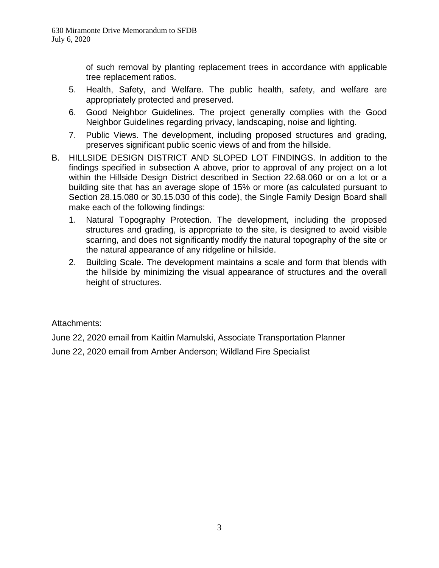of such removal by planting replacement trees in accordance with applicable tree replacement ratios.

- 5. Health, Safety, and Welfare. The public health, safety, and welfare are appropriately protected and preserved.
- 6. Good Neighbor Guidelines. The project generally complies with the Good Neighbor Guidelines regarding privacy, landscaping, noise and lighting.
- 7. Public Views. The development, including proposed structures and grading, preserves significant public scenic views of and from the hillside.
- B. HILLSIDE DESIGN DISTRICT AND SLOPED LOT FINDINGS. In addition to the findings specified in subsection A above, prior to approval of any project on a lot within the Hillside Design District described in Section 22.68.060 or on a lot or a building site that has an average slope of 15% or more (as calculated pursuant to Section 28.15.080 or 30.15.030 of this code), the Single Family Design Board shall make each of the following findings:
	- 1. Natural Topography Protection. The development, including the proposed structures and grading, is appropriate to the site, is designed to avoid visible scarring, and does not significantly modify the natural topography of the site or the natural appearance of any ridgeline or hillside.
	- 2. Building Scale. The development maintains a scale and form that blends with the hillside by minimizing the visual appearance of structures and the overall height of structures.

Attachments:

June 22, 2020 email from Kaitlin Mamulski, Associate Transportation Planner

June 22, 2020 email from Amber Anderson; Wildland Fire Specialist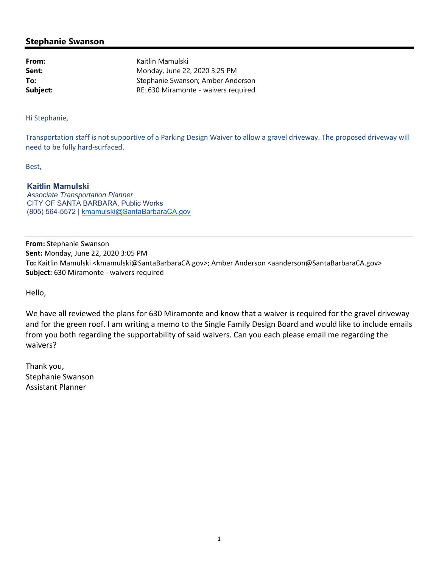#### **Stephanie Swanson**

**From:** Kaitlin Mamulski **Sent:** Monday, June 22, 2020 3:25 PM **To:** Stephanie Swanson; Amber Anderson **Subject:** RE: 630 Miramonte - waivers required

Hi Stephanie,

Transportation staff is not supportive of a Parking Design Waiver to allow a gravel driveway. The proposed driveway will need to be fully hard‐surfaced.

Best,

#### **Kaitlin Mamulski**

*Associate Transportation Planner* CITY OF SANTA BARBARA, Public Works (805) 564-5572 | kmamulski@SantaBarbaraCA.gov

**From:** Stephanie Swanson **Sent:** Monday, June 22, 2020 3:05 PM **To:** Kaitlin Mamulski <kmamulski@SantaBarbaraCA.gov>; Amber Anderson <aanderson@SantaBarbaraCA.gov> **Subject:** 630 Miramonte ‐ waivers required

Hello,

We have all reviewed the plans for 630 Miramonte and know that a waiver is required for the gravel driveway and for the green roof. I am writing a memo to the Single Family Design Board and would like to include emails from you both regarding the supportability of said waivers. Can you each please email me regarding the waivers?

Thank you, Stephanie Swanson Assistant Planner